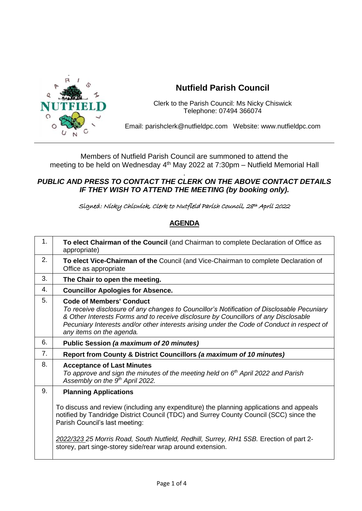

## **Nutfield Parish Council**

Clerk to the Parish Council: Ms Nicky Chiswick Telephone: 07494 366074

Email: parishclerk@nutfieldpc.com Website: www.nutfieldpc.com

Members of Nutfield Parish Council are summoned to attend the meeting to be held on Wednesday 4<sup>th</sup> May 2022 at 7:30pm – Nutfield Memorial Hall

## . *PUBLIC AND PRESS TO CONTACT THE CLERK ON THE ABOVE CONTACT DETAILS IF THEY WISH TO ATTEND THE MEETING (by booking only).*

Signed: Nicky Chiswick, Clerk to Nutfield Parish Council, 28th April 2022

## **AGENDA**

| 1. | To elect Chairman of the Council (and Chairman to complete Declaration of Office as<br>appropriate)                                                                                                                                                                                                                                                                         |
|----|-----------------------------------------------------------------------------------------------------------------------------------------------------------------------------------------------------------------------------------------------------------------------------------------------------------------------------------------------------------------------------|
| 2. | To elect Vice-Chairman of the Council (and Vice-Chairman to complete Declaration of<br>Office as appropriate                                                                                                                                                                                                                                                                |
| 3. | The Chair to open the meeting.                                                                                                                                                                                                                                                                                                                                              |
| 4. | <b>Councillor Apologies for Absence.</b>                                                                                                                                                                                                                                                                                                                                    |
| 5. | <b>Code of Members' Conduct</b><br>To receive disclosure of any changes to Councillor's Notification of Disclosable Pecuniary<br>& Other Interests Forms and to receive disclosure by Councillors of any Disclosable<br>Pecuniary Interests and/or other interests arising under the Code of Conduct in respect of<br>any items on the agenda.                              |
| 6. | Public Session (a maximum of 20 minutes)                                                                                                                                                                                                                                                                                                                                    |
| 7. | Report from County & District Councillors (a maximum of 10 minutes)                                                                                                                                                                                                                                                                                                         |
| 8. | <b>Acceptance of Last Minutes</b><br>To approve and sign the minutes of the meeting held on $6th$ April 2022 and Parish<br>Assembly on the 9 <sup>th</sup> April 2022.                                                                                                                                                                                                      |
| 9. | <b>Planning Applications</b>                                                                                                                                                                                                                                                                                                                                                |
|    | To discuss and review (including any expenditure) the planning applications and appeals<br>notified by Tandridge District Council (TDC) and Surrey County Council (SCC) since the<br>Parish Council's last meeting:<br>2022/323 25 Morris Road, South Nutfield, Redhill, Surrey, RH1 5SB. Erection of part 2-<br>storey, part singe-storey side/rear wrap around extension. |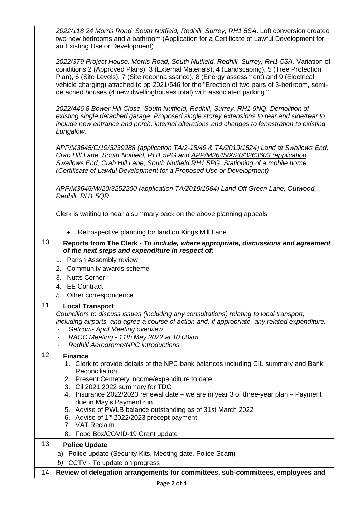|     | 2022/118 24 Morris Road, South Nutfield, Redhill, Surrey, RH1 5SA. Loft conversion created<br>two new bedrooms and a bathroom (Application for a Certificate of Lawful Development for<br>an Existing Use or Development)                                                                                                                                                                                                                                       |
|-----|-----------------------------------------------------------------------------------------------------------------------------------------------------------------------------------------------------------------------------------------------------------------------------------------------------------------------------------------------------------------------------------------------------------------------------------------------------------------|
|     | 2022/379 Project House, Morris Road, South Nutfield, Redhill, Surrey, RH1 5SA. Variation of<br>conditions 2 (Approved Plans), 3 (External Materials), 4 (Landscaping), 5 (Tree Protection<br>Plan), 6 (Site Levels), 7 (Site reconnaissance), 8 (Energy assessment) and 9 (Electrical<br>vehicle charging) attached to pp 2021/546 for the "Erection of two pairs of 3-bedroom, semi-<br>detached houses (4 new dwellinghouses total) with associated parking." |
|     | 2022/446 8 Bower Hill Close, South Nutfield, Redhill, Surrey, RH1 5NQ. Demolition of<br>existing single detached garage. Proposed single storey extensions to rear and side/rear to<br>include new entrance and porch, internal alterations and changes to fenestration to existing<br>bungalow.                                                                                                                                                                |
|     | APP/M3645/C/19/3239288 (application TA/2-18/49 & TA/2019/1524) Land at Swallows End,<br>Crab Hill Lane, South Nutfield, RH1 5PG and APP/M3645/X/20/3263603 (application<br>Swallows End, Crab Hill Lane, South Nutfield RH1 5PG. Stationing of a mobile home<br>(Certificate of Lawful Development for a Proposed Use or Development)                                                                                                                           |
|     | APP/M3645/W/20/3252200 (application TA/2019/1584) Land Off Green Lane, Outwood,<br>Redhill, RH1 5QR                                                                                                                                                                                                                                                                                                                                                             |
|     | Clerk is waiting to hear a summary back on the above planning appeals                                                                                                                                                                                                                                                                                                                                                                                           |
|     | Retrospective planning for land on Kings Mill Lane                                                                                                                                                                                                                                                                                                                                                                                                              |
| 10. | Reports from The Clerk - To include, where appropriate, discussions and agreement<br>of the next steps and expenditure in respect of:                                                                                                                                                                                                                                                                                                                           |
|     | 1. Parish Assembly review                                                                                                                                                                                                                                                                                                                                                                                                                                       |
|     | 2. Community awards scheme                                                                                                                                                                                                                                                                                                                                                                                                                                      |
|     | 3. Nutts Corner                                                                                                                                                                                                                                                                                                                                                                                                                                                 |
|     | 4. EE Contract                                                                                                                                                                                                                                                                                                                                                                                                                                                  |
|     | 5. Other correspondence                                                                                                                                                                                                                                                                                                                                                                                                                                         |
| 11. | <b>Local Transport</b><br>Councillors to discuss issues (including any consultations) relating to local transport,<br>including airports, and agree a course of action and, if appropriate, any related expenditure.<br><b>Gatcom- April Meeting overview</b><br>RACC Meeting - 11th May 2022 at 10.00am<br><b>Redhill Aerodrome/NPC introductions</b><br>$\overline{\phantom{a}}$                                                                              |
| 12. | <b>Finance</b><br>1. Clerk to provide details of the NPC bank balances including CIL summary and Bank<br>Reconciliation.<br>2. Present Cemetery income/expenditure to date                                                                                                                                                                                                                                                                                      |
|     | 3. Cil 2021 2022 summary for TDC<br>4. Insurance 2022/2023 renewal date – we are in year 3 of three-year plan – Payment<br>due in May's Payment run                                                                                                                                                                                                                                                                                                             |
|     | 5. Advise of PWLB balance outstanding as of 31st March 2022<br>6. Advise of $1st 2022/2023$ precept payment<br>7. VAT Reclaim                                                                                                                                                                                                                                                                                                                                   |
|     | 8. Food Box/COVID-19 Grant update                                                                                                                                                                                                                                                                                                                                                                                                                               |
| 13. | <b>Police Update</b>                                                                                                                                                                                                                                                                                                                                                                                                                                            |
|     | a) Police update (Security Kits, Meeting date, Police Scam)                                                                                                                                                                                                                                                                                                                                                                                                     |
|     | b) CCTV - To update on progress                                                                                                                                                                                                                                                                                                                                                                                                                                 |
| 14. | Review of delegation arrangements for committees, sub-committees, employees and                                                                                                                                                                                                                                                                                                                                                                                 |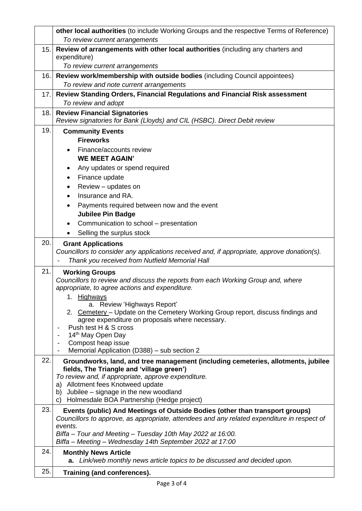|      | other local authorities (to include Working Groups and the respective Terms of Reference)                                |
|------|--------------------------------------------------------------------------------------------------------------------------|
|      | To review current arrangements                                                                                           |
| 15.1 | Review of arrangements with other local authorities (including any charters and                                          |
|      | expenditure)                                                                                                             |
|      | To review current arrangements                                                                                           |
| 16.  | Review work/membership with outside bodies (including Council appointees)<br>To review and note current arrangements     |
| 17.  | Review Standing Orders, Financial Regulations and Financial Risk assessment                                              |
|      | To review and adopt                                                                                                      |
| 18.  | <b>Review Financial Signatories</b>                                                                                      |
|      | Review signatories for Bank (Lloyds) and CIL (HSBC). Direct Debit review                                                 |
| 19.  | <b>Community Events</b>                                                                                                  |
|      | <b>Fireworks</b>                                                                                                         |
|      | Finance/accounts review                                                                                                  |
|      | <b>WE MEET AGAIN'</b>                                                                                                    |
|      | Any updates or spend required<br>٠                                                                                       |
|      | Finance update                                                                                                           |
|      | Review - updates on                                                                                                      |
|      | Insurance and RA.                                                                                                        |
|      | Payments required between now and the event                                                                              |
|      | <b>Jubilee Pin Badge</b>                                                                                                 |
|      | Communication to school - presentation<br>Selling the surplus stock                                                      |
| 20.  |                                                                                                                          |
|      | <b>Grant Applications</b><br>Councillors to consider any applications received and, if appropriate, approve donation(s). |
|      | Thank you received from Nutfield Memorial Hall                                                                           |
| 21.  | <b>Working Groups</b>                                                                                                    |
|      | Councillors to review and discuss the reports from each Working Group and, where                                         |
|      | appropriate, to agree actions and expenditure.                                                                           |
|      | 1. Highways                                                                                                              |
|      | a. Review 'Highways Report'<br>2. Cemetery - Update on the Cemetery Working Group report, discuss findings and           |
|      | agree expenditure on proposals where necessary.                                                                          |
|      | Push test H & S cross                                                                                                    |
|      | 14th May Open Day                                                                                                        |
|      | Compost heap issue<br>$\overline{\phantom{a}}$<br>Memorial Application (D388) - sub section 2                            |
| 22.  | Groundworks, land, and tree management (including cemeteries, allotments, jubilee                                        |
|      | fields, The Triangle and 'village green')                                                                                |
|      | To review and, if appropriate, approve expenditure.                                                                      |
|      | a) Allotment fees Knotweed update                                                                                        |
|      | Jubilee - signage in the new woodland<br>b)<br>Holmesdale BOA Partnership (Hedge project)<br>C)                          |
| 23.  | Events (public) And Meetings of Outside Bodies (other than transport groups)                                             |
|      | Councillors to approve, as appropriate, attendees and any related expenditure in respect of                              |
|      | events.                                                                                                                  |
|      | Biffa - Tour and Meeting - Tuesday 10th May 2022 at 16:00.                                                               |
|      | Biffa - Meeting - Wednesday 14th September 2022 at 17:00                                                                 |
| 24.  | <b>Monthly News Article</b><br>Link/web monthly news article topics to be discussed and decided upon.<br>a.              |
|      |                                                                                                                          |
| 25.  | Training (and conferences).                                                                                              |